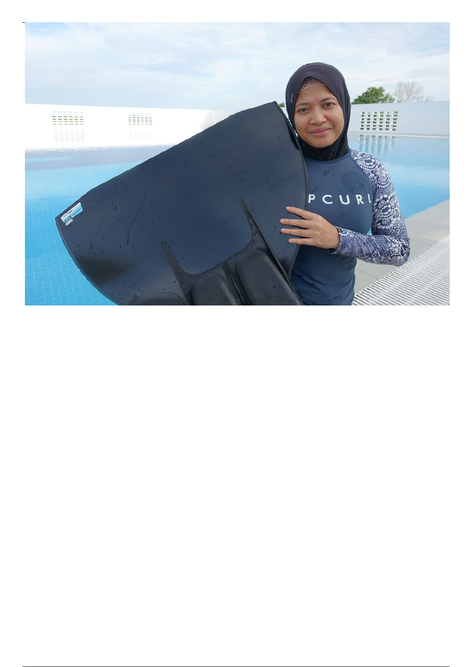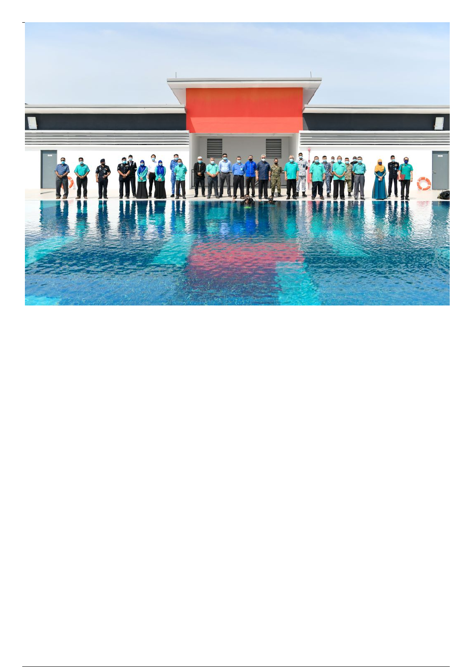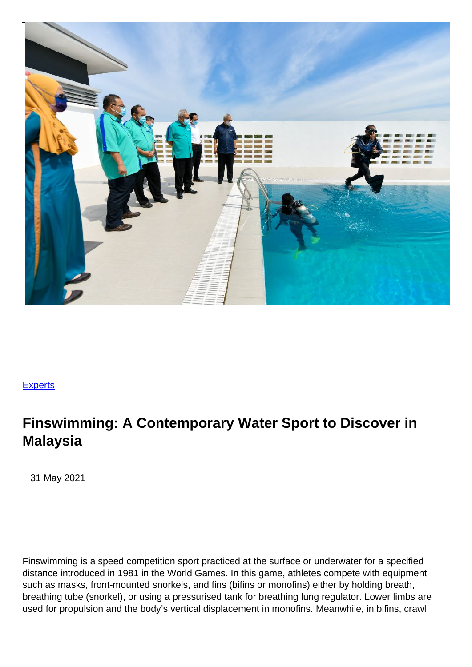

## **[Experts](/index.php/experts)**

## **Finswimming: A Contemporary Water Sport to Discover in Malaysia**

31 May 2021

Finswimming is a speed competition sport practiced at the surface or underwater for a specified distance introduced in 1981 in the World Games. In this game, athletes compete with equipment such as masks, front-mounted snorkels, and fins (bifins or monofins) either by holding breath, breathing tube (snorkel), or using a pressurised tank for breathing lung regulator. Lower limbs are used for propulsion and the body's vertical displacement in monofins. Meanwhile, in bifins, crawl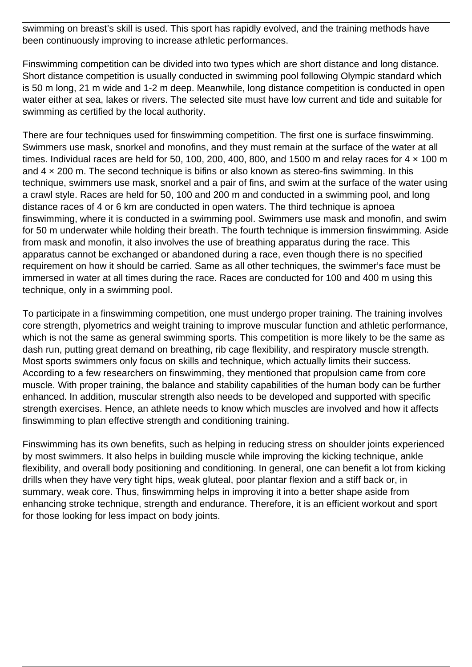swimming on breast's skill is used. This sport has rapidly evolved, and the training methods have been continuously improving to increase athletic performances.

Finswimming competition can be divided into two types which are short distance and long distance. Short distance competition is usually conducted in swimming pool following Olympic standard which is 50 m long, 21 m wide and 1-2 m deep. Meanwhile, long distance competition is conducted in open water either at sea, lakes or rivers. The selected site must have low current and tide and suitable for swimming as certified by the local authority.

There are four techniques used for finswimming competition. The first one is surface finswimming. Swimmers use mask, snorkel and monofins, and they must remain at the surface of the water at all times. Individual races are held for 50, 100, 200, 400, 800, and 1500 m and relay races for  $4 \times 100$  m and  $4 \times 200$  m. The second technique is bifins or also known as stereo-fins swimming. In this technique, swimmers use mask, snorkel and a pair of fins, and swim at the surface of the water using a crawl style. Races are held for 50, 100 and 200 m and conducted in a swimming pool, and long distance races of 4 or 6 km are conducted in open waters. The third technique is apnoea finswimming, where it is conducted in a swimming pool. Swimmers use mask and monofin, and swim for 50 m underwater while holding their breath. The fourth technique is immersion finswimming. Aside from mask and monofin, it also involves the use of breathing apparatus during the race. This apparatus cannot be exchanged or abandoned during a race, even though there is no specified requirement on how it should be carried. Same as all other techniques, the swimmer's face must be immersed in water at all times during the race. Races are conducted for 100 and 400 m using this technique, only in a swimming pool.

To participate in a finswimming competition, one must undergo proper training. The training involves core strength, plyometrics and weight training to improve muscular function and athletic performance, which is not the same as general swimming sports. This competition is more likely to be the same as dash run, putting great demand on breathing, rib cage flexibility, and respiratory muscle strength. Most sports swimmers only focus on skills and technique, which actually limits their success. According to a few researchers on finswimming, they mentioned that propulsion came from core muscle. With proper training, the balance and stability capabilities of the human body can be further enhanced. In addition, muscular strength also needs to be developed and supported with specific strength exercises. Hence, an athlete needs to know which muscles are involved and how it affects finswimming to plan effective strength and conditioning training.

Finswimming has its own benefits, such as helping in reducing stress on shoulder joints experienced by most swimmers. It also helps in building muscle while improving the kicking technique, ankle flexibility, and overall body positioning and conditioning. In general, one can benefit a lot from kicking drills when they have very tight hips, weak gluteal, poor plantar flexion and a stiff back or, in summary, weak core. Thus, finswimming helps in improving it into a better shape aside from enhancing stroke technique, strength and endurance. Therefore, it is an efficient workout and sport for those looking for less impact on body joints.